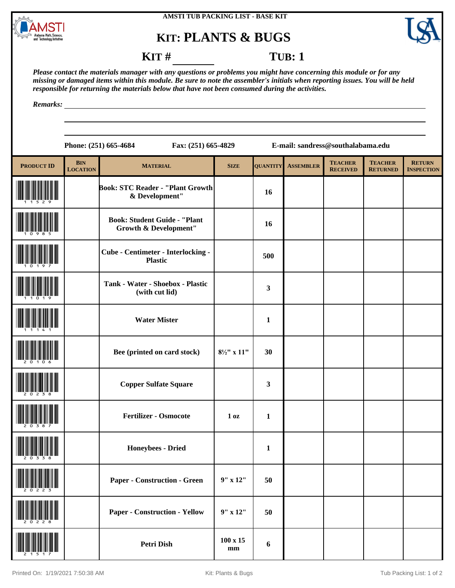

## **KIT: PLANTS & BUGS**



## **KIT** # **TUB**: 1

*Please contact the materials manager with any questions or problems you might have concerning this module or for any missing or damaged items within this module. Be sure to note the assembler's initials when reporting issues. You will be held responsible for returning the materials below that have not been consumed during the activities.*

*Remarks:*

|                   |                               | Phone: (251) 665-4684<br>Fax: (251) 665-4829                            | E-mail: sandress@southalabama.edu |                  |                  |                                   |                                   |                                    |
|-------------------|-------------------------------|-------------------------------------------------------------------------|-----------------------------------|------------------|------------------|-----------------------------------|-----------------------------------|------------------------------------|
| <b>PRODUCT ID</b> | <b>BIN</b><br><b>LOCATION</b> | <b>MATERIAL</b>                                                         | <b>SIZE</b>                       | <b>QUANTITY</b>  | <b>ASSEMBLER</b> | <b>TEACHER</b><br><b>RECEIVED</b> | <b>TEACHER</b><br><b>RETURNED</b> | <b>RETURN</b><br><b>INSPECTION</b> |
|                   |                               | <b>Book: STC Reader - "Plant Growth</b><br>& Development"               |                                   | 16               |                  |                                   |                                   |                                    |
|                   |                               | <b>Book: Student Guide - "Plant</b><br><b>Growth &amp; Development"</b> |                                   | 16               |                  |                                   |                                   |                                    |
|                   |                               | Cube - Centimeter - Interlocking -<br><b>Plastic</b>                    |                                   | 500              |                  |                                   |                                   |                                    |
|                   |                               | Tank - Water - Shoebox - Plastic<br>(with cut lid)                      |                                   | $\mathbf{3}$     |                  |                                   |                                   |                                    |
|                   |                               | <b>Water Mister</b>                                                     |                                   | $\mathbf{1}$     |                  |                                   |                                   |                                    |
|                   |                               | Bee (printed on card stock)                                             | $8\frac{1}{2}$ " x 11"            | 30               |                  |                                   |                                   |                                    |
|                   |                               | <b>Copper Sulfate Square</b>                                            |                                   | $\mathbf{3}$     |                  |                                   |                                   |                                    |
|                   |                               | <b>Fertilizer - Osmocote</b>                                            | 1 <sub>0</sub> z                  | $\mathbf{1}$     |                  |                                   |                                   |                                    |
|                   |                               | <b>Honeybees - Dried</b>                                                |                                   | 1                |                  |                                   |                                   |                                    |
|                   |                               | Paper - Construction - Green                                            | $9''$ x $12''$                    | 50               |                  |                                   |                                   |                                    |
|                   |                               | <b>Paper - Construction - Yellow</b>                                    | $9''$ x $12''$                    | 50               |                  |                                   |                                   |                                    |
|                   |                               | Petri Dish                                                              | $100 \times 15$<br>$\mathbf{mm}$  | $\boldsymbol{6}$ |                  |                                   |                                   |                                    |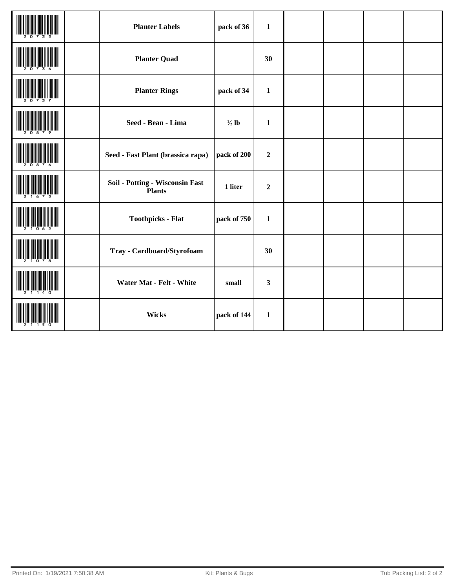|  | <b>Planter Labels</b>                            | pack of 36       | $\mathbf 1$      |  |  |
|--|--------------------------------------------------|------------------|------------------|--|--|
|  | <b>Planter Quad</b>                              |                  | 30               |  |  |
|  | <b>Planter Rings</b>                             | pack of 34       | $\mathbf{1}$     |  |  |
|  | Seed - Bean - Lima                               | $\frac{1}{2}$ lb | $\mathbf{1}$     |  |  |
|  | Seed - Fast Plant (brassica rapa)                | pack of 200      | $\boldsymbol{2}$ |  |  |
|  | Soil - Potting - Wisconsin Fast<br><b>Plants</b> | 1 liter          | $\boldsymbol{2}$ |  |  |
|  | <b>Toothpicks - Flat</b>                         | pack of 750      | $\mathbf{1}$     |  |  |
|  | Tray - Cardboard/Styrofoam                       |                  | 30               |  |  |
|  | Water Mat - Felt - White                         | small            | $\mathbf{3}$     |  |  |
|  | Wicks                                            | pack of 144      | $\mathbf{1}$     |  |  |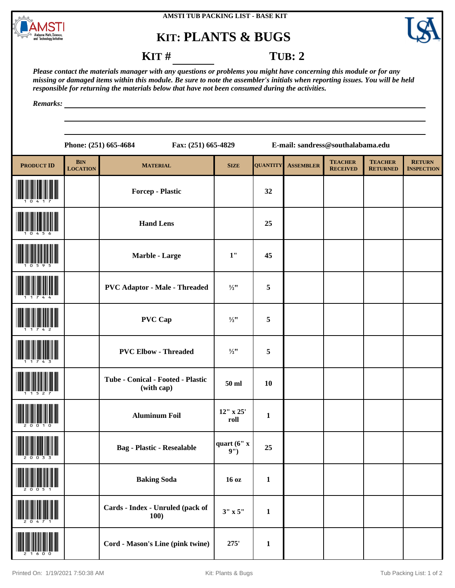

## **KIT: PLANTS & BUGS**



## **KIT** # **TUB: 2**

*Please contact the materials manager with any questions or problems you might have concerning this module or for any missing or damaged items within this module. Be sure to note the assembler's initials when reporting issues. You will be held responsible for returning the materials below that have not been consumed during the activities.*

*Remarks:*

|                   |                                   | Fax: (251) 665-4829<br>Phone: (251) 665-4684    | E-mail: sandress@southalabama.edu |                 |                  |                                   |                                   |                                    |
|-------------------|-----------------------------------|-------------------------------------------------|-----------------------------------|-----------------|------------------|-----------------------------------|-----------------------------------|------------------------------------|
| <b>PRODUCT ID</b> | $\mathbf{BIN}$<br><b>LOCATION</b> | <b>MATERIAL</b>                                 | <b>SIZE</b>                       | <b>QUANTITY</b> | <b>ASSEMBLER</b> | <b>TEACHER</b><br><b>RECEIVED</b> | <b>TEACHER</b><br><b>RETURNED</b> | <b>RETURN</b><br><b>INSPECTION</b> |
|                   |                                   | <b>Forcep - Plastic</b>                         |                                   | 32              |                  |                                   |                                   |                                    |
|                   |                                   | <b>Hand Lens</b>                                |                                   | 25              |                  |                                   |                                   |                                    |
|                   |                                   | Marble - Large                                  | $1"$                              | 45              |                  |                                   |                                   |                                    |
|                   |                                   | <b>PVC Adaptor - Male - Threaded</b>            | $\frac{1}{2}$ "                   | 5               |                  |                                   |                                   |                                    |
|                   |                                   | <b>PVC Cap</b>                                  | $\frac{1}{2}$ "                   | 5               |                  |                                   |                                   |                                    |
|                   |                                   | <b>PVC Elbow - Threaded</b>                     | $\frac{1}{2}$ "                   | 5               |                  |                                   |                                   |                                    |
|                   |                                   | Tube - Conical - Footed - Plastic<br>(with cap) | 50 ml                             | 10              |                  |                                   |                                   |                                    |
|                   |                                   | <b>Aluminum Foil</b>                            | $12"$ x $25'$<br>roll             | $\mathbf{1}$    |                  |                                   |                                   |                                    |
|                   |                                   | <b>Bag</b> - Plastic - Resealable               | quart $(6"x)$<br>9")              | 25              |                  |                                   |                                   |                                    |
|                   |                                   | <b>Baking Soda</b>                              | 16 oz                             | $\mathbf 1$     |                  |                                   |                                   |                                    |
|                   |                                   | Cards - Index - Unruled (pack of<br>100)        | $3" \times 5"$                    | $\mathbf 1$     |                  |                                   |                                   |                                    |
|                   |                                   | Cord - Mason's Line (pink twine)                | 275'                              | $\mathbf{1}$    |                  |                                   |                                   |                                    |